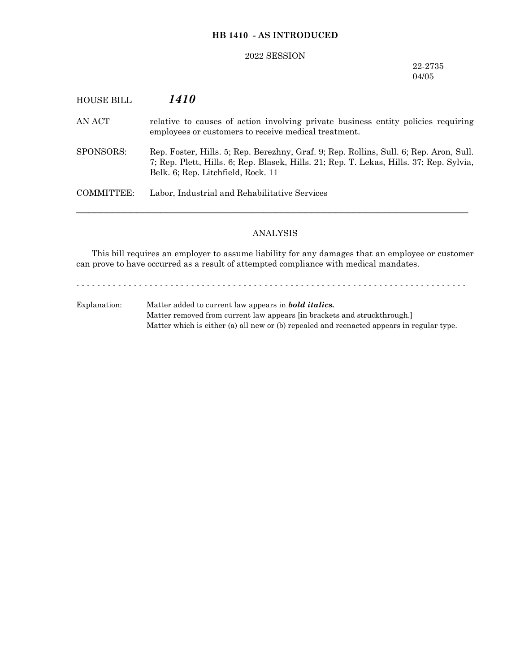## **HB 1410 - AS INTRODUCED**

#### 2022 SESSION

22-2735 04/05

# HOUSE BILL *1410*

AN ACT relative to causes of action involving private business entity policies requiring employees or customers to receive medical treatment.

SPONSORS: Rep. Foster, Hills. 5; Rep. Berezhny, Graf. 9; Rep. Rollins, Sull. 6; Rep. Aron, Sull. 7; Rep. Plett, Hills. 6; Rep. Blasek, Hills. 21; Rep. T. Lekas, Hills. 37; Rep. Sylvia, Belk. 6; Rep. Litchfield, Rock. 11

COMMITTEE: Labor, Industrial and Rehabilitative Services

### ANALYSIS

─────────────────────────────────────────────────────────────────

This bill requires an employer to assume liability for any damages that an employee or customer can prove to have occurred as a result of attempted compliance with medical mandates.

- - - - - - - - - - - - - - - - - - - - - - - - - - - - - - - - - - - - - - - - - - - - - - - - - - - - - - - - - - - - - - - - - - - - - - - - - - -

Explanation: Matter added to current law appears in *bold italics.* Matter removed from current law appears [in brackets and struckthrough.] Matter which is either (a) all new or (b) repealed and reenacted appears in regular type.